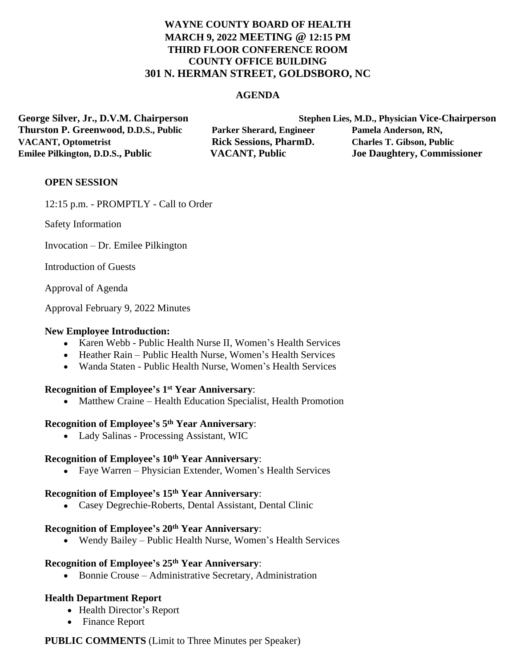# **WAYNE COUNTY BOARD OF HEALTH MARCH 9, 2022 MEETING @ 12:15 PM THIRD FLOOR CONFERENCE ROOM COUNTY OFFICE BUILDING 301 N. HERMAN STREET, GOLDSBORO, NC**

#### **AGENDA**

**Thurston P. Greenwood, D.D.S., Public Parker Sherard, Engineer Pamela Anderson, RN, VACANT, Optometrist Rick Sessions, PharmD. Charles T. Gibson, Public Emilee Pilkington, D.D.S., Public VACANT, Public Joe Daughtery, Commissioner**

**George Silver, Jr., D.V.M. Chairperson Stephen Lies, M.D., Physician Vice-Chairperson**

## **OPEN SESSION**

12:15 p.m. - PROMPTLY - Call to Order

Safety Information

Invocation – Dr. Emilee Pilkington

Introduction of Guests

Approval of Agenda

Approval February 9, 2022 Minutes

#### **New Employee Introduction:**

- Karen Webb Public Health Nurse II, Women's Health Services
- Heather Rain Public Health Nurse, Women's Health Services
- Wanda Staten Public Health Nurse, Women's Health Services

#### **Recognition of Employee's 1 st Year Anniversary**:

• Matthew Craine – Health Education Specialist, Health Promotion

## **Recognition of Employee's 5 th Year Anniversary**:

Lady Salinas - Processing Assistant, WIC

#### **Recognition of Employee's 10th Year Anniversary**:

Faye Warren – Physician Extender, Women's Health Services

#### **Recognition of Employee's 15th Year Anniversary**:

Casey Degrechie-Roberts, Dental Assistant, Dental Clinic

## **Recognition of Employee's 20th Year Anniversary**:

Wendy Bailey – Public Health Nurse, Women's Health Services

## **Recognition of Employee's 25th Year Anniversary**:

Bonnie Crouse – Administrative Secretary, Administration

#### **Health Department Report**

- Health Director's Report
- Finance Report

## **PUBLIC COMMENTS** (Limit to Three Minutes per Speaker)